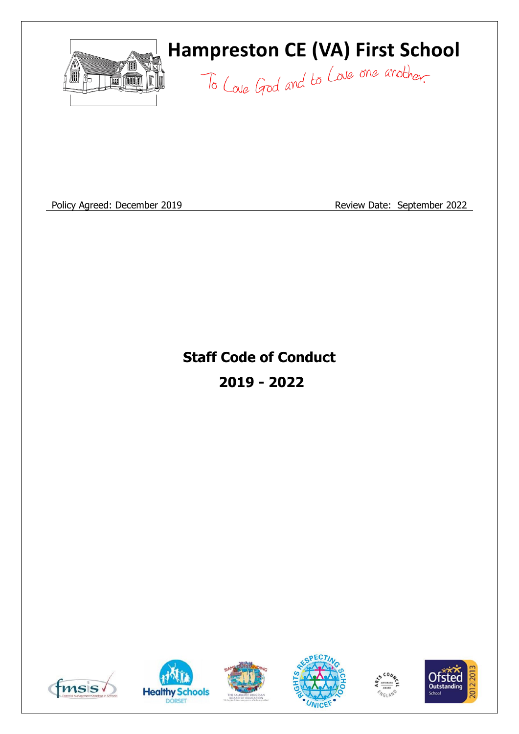

# **Hampreston CE (VA) First School**

To Love God and to Love one another.

Policy Agreed: December 2019 **Review Date: September 2022** 

**Staff Code of Conduct 2019 - 2022**











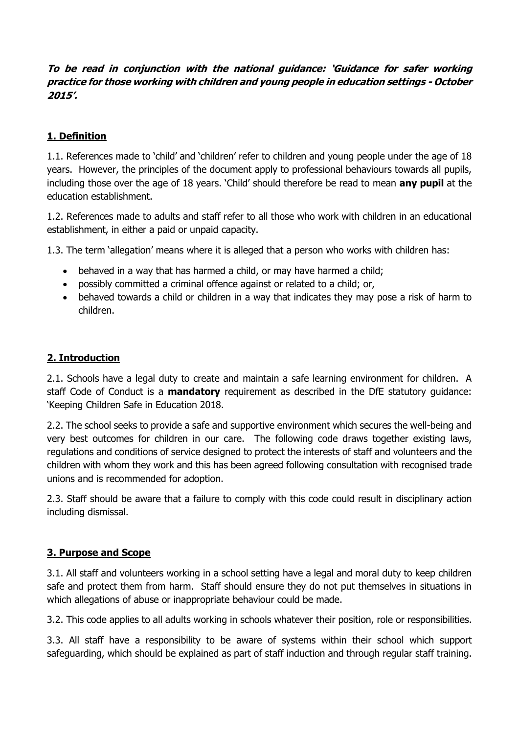# **To be read in conjunction with the national guidance: 'Guidance for safer working practice for those working with children and young people in education settings - October 2015'.**

# **1. Definition**

1.1. References made to 'child' and 'children' refer to children and young people under the age of 18 years. However, the principles of the document apply to professional behaviours towards all pupils, including those over the age of 18 years. 'Child' should therefore be read to mean **any pupil** at the education establishment.

1.2. References made to adults and staff refer to all those who work with children in an educational establishment, in either a paid or unpaid capacity.

1.3. The term 'allegation' means where it is alleged that a person who works with children has:

- behaved in a way that has harmed a child, or may have harmed a child;
- possibly committed a criminal offence against or related to a child; or,
- behaved towards a child or children in a way that indicates they may pose a risk of harm to children.

## **2. Introduction**

2.1. Schools have a legal duty to create and maintain a safe learning environment for children. A staff Code of Conduct is a **mandatory** requirement as described in the DfE statutory guidance: 'Keeping Children Safe in Education 2018.

2.2. The school seeks to provide a safe and supportive environment which secures the well-being and very best outcomes for children in our care. The following code draws together existing laws, regulations and conditions of service designed to protect the interests of staff and volunteers and the children with whom they work and this has been agreed following consultation with recognised trade unions and is recommended for adoption.

2.3. Staff should be aware that a failure to comply with this code could result in disciplinary action including dismissal.

#### **3. Purpose and Scope**

3.1. All staff and volunteers working in a school setting have a legal and moral duty to keep children safe and protect them from harm. Staff should ensure they do not put themselves in situations in which allegations of abuse or inappropriate behaviour could be made.

3.2. This code applies to all adults working in schools whatever their position, role or responsibilities.

3.3. All staff have a responsibility to be aware of systems within their school which support safeguarding, which should be explained as part of staff induction and through regular staff training.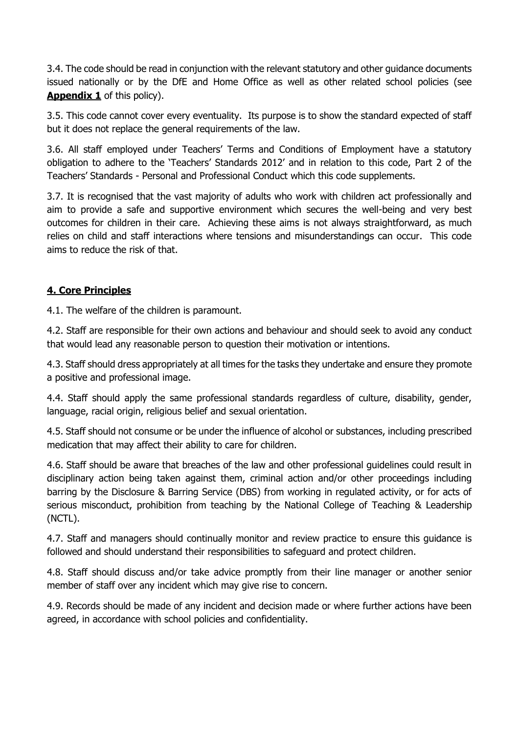3.4. The code should be read in conjunction with the relevant statutory and other guidance documents issued nationally or by the DfE and Home Office as well as other related school policies (see **Appendix 1** of this policy).

3.5. This code cannot cover every eventuality. Its purpose is to show the standard expected of staff but it does not replace the general requirements of the law.

3.6. All staff employed under Teachers' Terms and Conditions of Employment have a statutory obligation to adhere to the 'Teachers' Standards 2012' and in relation to this code, Part 2 of the Teachers' Standards - Personal and Professional Conduct which this code supplements.

3.7. It is recognised that the vast majority of adults who work with children act professionally and aim to provide a safe and supportive environment which secures the well-being and very best outcomes for children in their care. Achieving these aims is not always straightforward, as much relies on child and staff interactions where tensions and misunderstandings can occur. This code aims to reduce the risk of that.

## **4. Core Principles**

4.1. The welfare of the children is paramount.

4.2. Staff are responsible for their own actions and behaviour and should seek to avoid any conduct that would lead any reasonable person to question their motivation or intentions.

4.3. Staff should dress appropriately at all times for the tasks they undertake and ensure they promote a positive and professional image.

4.4. Staff should apply the same professional standards regardless of culture, disability, gender, language, racial origin, religious belief and sexual orientation.

4.5. Staff should not consume or be under the influence of alcohol or substances, including prescribed medication that may affect their ability to care for children.

4.6. Staff should be aware that breaches of the law and other professional guidelines could result in disciplinary action being taken against them, criminal action and/or other proceedings including barring by the Disclosure & Barring Service (DBS) from working in regulated activity, or for acts of serious misconduct, prohibition from teaching by the National College of Teaching & Leadership (NCTL).

4.7. Staff and managers should continually monitor and review practice to ensure this guidance is followed and should understand their responsibilities to safeguard and protect children.

4.8. Staff should discuss and/or take advice promptly from their line manager or another senior member of staff over any incident which may give rise to concern.

4.9. Records should be made of any incident and decision made or where further actions have been agreed, in accordance with school policies and confidentiality.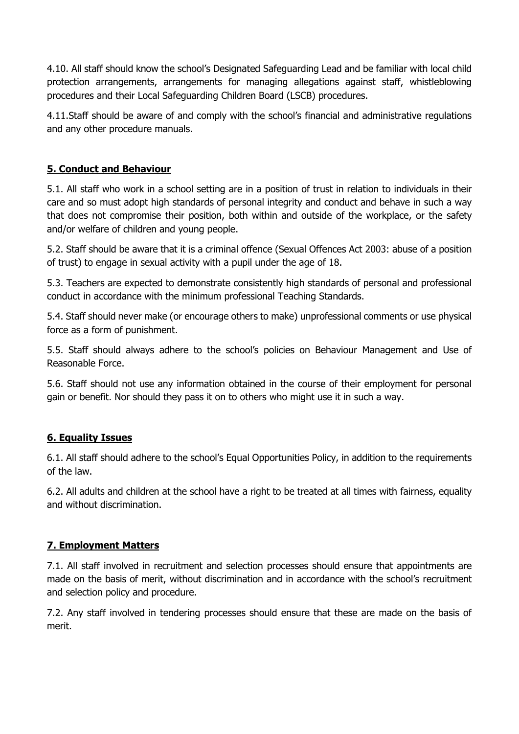4.10. All staff should know the school's Designated Safeguarding Lead and be familiar with local child protection arrangements, arrangements for managing allegations against staff, whistleblowing procedures and their Local Safeguarding Children Board (LSCB) procedures.

4.11.Staff should be aware of and comply with the school's financial and administrative regulations and any other procedure manuals.

# **5. Conduct and Behaviour**

5.1. All staff who work in a school setting are in a position of trust in relation to individuals in their care and so must adopt high standards of personal integrity and conduct and behave in such a way that does not compromise their position, both within and outside of the workplace, or the safety and/or welfare of children and young people.

5.2. Staff should be aware that it is a criminal offence (Sexual Offences Act 2003: abuse of a position of trust) to engage in sexual activity with a pupil under the age of 18.

5.3. Teachers are expected to demonstrate consistently high standards of personal and professional conduct in accordance with the minimum professional Teaching Standards.

5.4. Staff should never make (or encourage others to make) unprofessional comments or use physical force as a form of punishment.

5.5. Staff should always adhere to the school's policies on Behaviour Management and Use of Reasonable Force.

5.6. Staff should not use any information obtained in the course of their employment for personal gain or benefit. Nor should they pass it on to others who might use it in such a way.

# **6. Equality Issues**

6.1. All staff should adhere to the school's Equal Opportunities Policy, in addition to the requirements of the law.

6.2. All adults and children at the school have a right to be treated at all times with fairness, equality and without discrimination.

#### **7. Employment Matters**

7.1. All staff involved in recruitment and selection processes should ensure that appointments are made on the basis of merit, without discrimination and in accordance with the school's recruitment and selection policy and procedure.

7.2. Any staff involved in tendering processes should ensure that these are made on the basis of merit.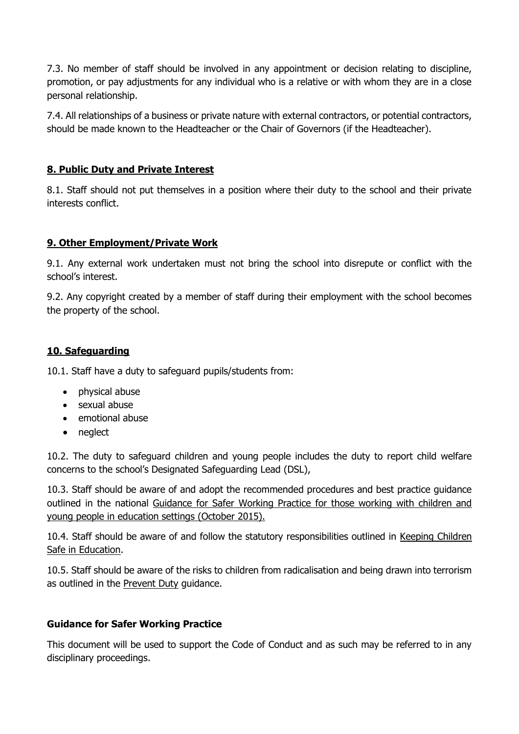7.3. No member of staff should be involved in any appointment or decision relating to discipline, promotion, or pay adjustments for any individual who is a relative or with whom they are in a close personal relationship.

7.4. All relationships of a business or private nature with external contractors, or potential contractors, should be made known to the Headteacher or the Chair of Governors (if the Headteacher).

## **8. Public Duty and Private Interest**

8.1. Staff should not put themselves in a position where their duty to the school and their private interests conflict.

## **9. Other Employment/Private Work**

9.1. Any external work undertaken must not bring the school into disrepute or conflict with the school's interest.

9.2. Any copyright created by a member of staff during their employment with the school becomes the property of the school.

# **10. Safeguarding**

10.1. Staff have a duty to safeguard pupils/students from:

- physical abuse
- sexual abuse
- emotional abuse
- neglect

10.2. The duty to safeguard children and young people includes the duty to report child welfare concerns to the school's Designated Safeguarding Lead (DSL),

10.3. Staff should be aware of and adopt the recommended procedures and best practice guidance outlined in the national Guidance for Safer Working Practice for those working with children and young people in education settings (October 2015).

10.4. Staff should be aware of and follow the statutory responsibilities outlined in Keeping Children Safe in Education.

10.5. Staff should be aware of the risks to children from radicalisation and being drawn into terrorism as outlined in the Prevent Duty guidance.

#### **Guidance for Safer Working Practice**

This document will be used to support the Code of Conduct and as such may be referred to in any disciplinary proceedings.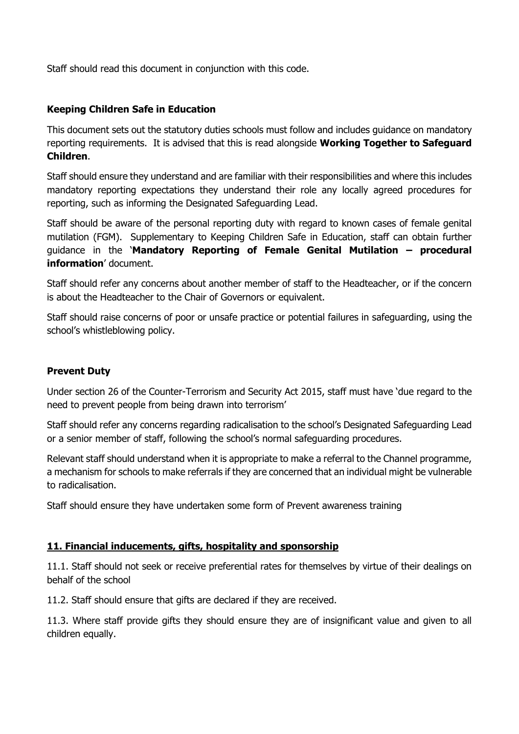Staff should read this document in conjunction with this code.

#### **Keeping Children Safe in Education**

This document sets out the statutory duties schools must follow and includes guidance on mandatory reporting requirements. It is advised that this is read alongside **Working Together to Safeguard Children**.

Staff should ensure they understand and are familiar with their responsibilities and where this includes mandatory reporting expectations they understand their role any locally agreed procedures for reporting, such as informing the Designated Safeguarding Lead.

Staff should be aware of the personal reporting duty with regard to known cases of female genital mutilation (FGM). Supplementary to Keeping Children Safe in Education, staff can obtain further guidance in the '**Mandatory Reporting of Female Genital Mutilation – procedural information**' document.

Staff should refer any concerns about another member of staff to the Headteacher, or if the concern is about the Headteacher to the Chair of Governors or equivalent.

Staff should raise concerns of poor or unsafe practice or potential failures in safeguarding, using the school's whistleblowing policy.

#### **Prevent Duty**

Under section 26 of the Counter-Terrorism and Security Act 2015, staff must have 'due regard to the need to prevent people from being drawn into terrorism'

Staff should refer any concerns regarding radicalisation to the school's Designated Safeguarding Lead or a senior member of staff, following the school's normal safeguarding procedures.

Relevant staff should understand when it is appropriate to make a referral to the Channel programme, a mechanism for schools to make referrals if they are concerned that an individual might be vulnerable to radicalisation.

Staff should ensure they have undertaken some form of Prevent awareness training

#### **11. Financial inducements, gifts, hospitality and sponsorship**

11.1. Staff should not seek or receive preferential rates for themselves by virtue of their dealings on behalf of the school

11.2. Staff should ensure that gifts are declared if they are received.

11.3. Where staff provide gifts they should ensure they are of insignificant value and given to all children equally.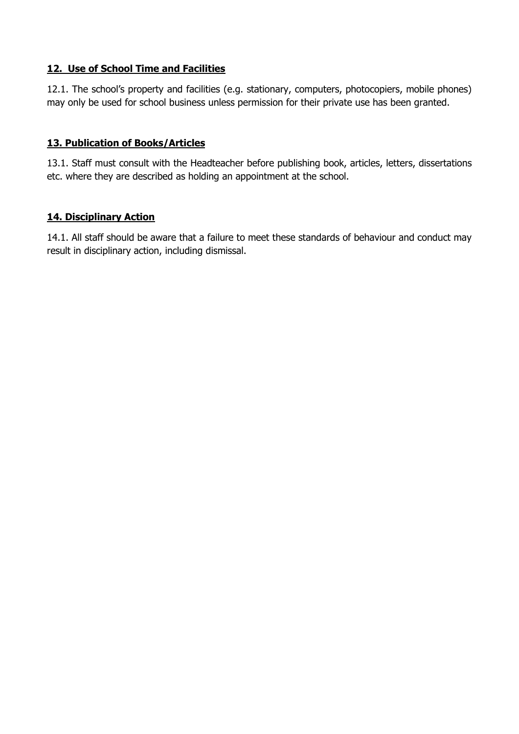## **12. Use of School Time and Facilities**

12.1. The school's property and facilities (e.g. stationary, computers, photocopiers, mobile phones) may only be used for school business unless permission for their private use has been granted.

## **13. Publication of Books/Articles**

13.1. Staff must consult with the Headteacher before publishing book, articles, letters, dissertations etc. where they are described as holding an appointment at the school.

## **14. Disciplinary Action**

14.1. All staff should be aware that a failure to meet these standards of behaviour and conduct may result in disciplinary action, including dismissal.